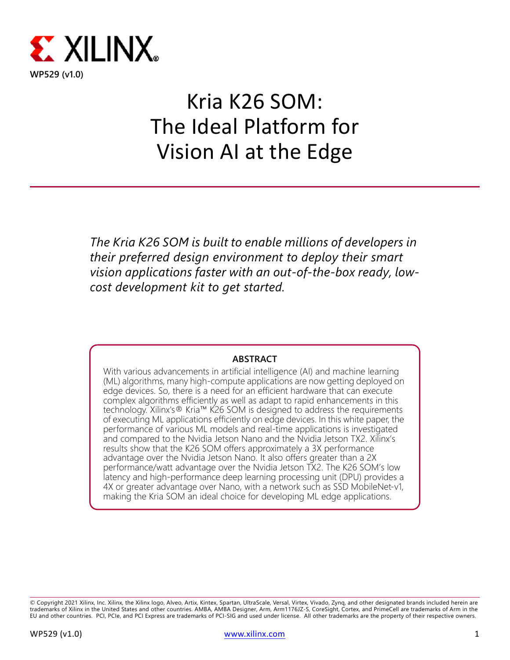

# Kria K26 SOM: The Ideal Platform for Vision AI at the Edge

*The Kria K26 SOM is built to enable millions of developers in their preferred design environment to deploy their smart vision applications faster with an out-of-the-box ready, lowcost development kit to get started.*

### **ABSTRACT**

With various advancements in artificial intelligence (AI) and machine learning (ML) algorithms, many high-compute applications are now getting deployed on edge devices. So, there is a need for an efficient hardware that can execute complex algorithms efficiently as well as adapt to rapid enhancements in this technology. Xilinx's® Kria™ K26 SOM is designed to address the requirements of executing ML applications efficiently on edge devices. In this white paper, the performance of various ML models and real-time applications is investigated and compared to the Nvidia Jetson Nano and the Nvidia Jetson TX2. Xilinx's results show that the K26 SOM offers approximately a 3X performance advantage over the Nvidia Jetson Nano. It also offers greater than a 2X performance/watt advantage over the Nvidia Jetson TX2. The K26 SOM's low latency and high-performance deep learning processing unit (DPU) provides a 4X or greater advantage over Nano, with a network such as SSD MobileNet-v1, making the Kria SOM an ideal choice for developing ML edge applications.

<sup>©</sup> Copyright 2021 Xilinx, Inc. Xilinx, the Xilinx logo, Alveo, Artix, Kintex, Spartan, UltraScale, Versal, Virtex, Vivado, Zynq, and other designated brands included herein are<br>trademarks of Xilinx in the United States and EU and other countries. PCI, PCIe, and PCI Express are trademarks of PCI-SIG and used under license. All other trademarks are the property of their respective owners.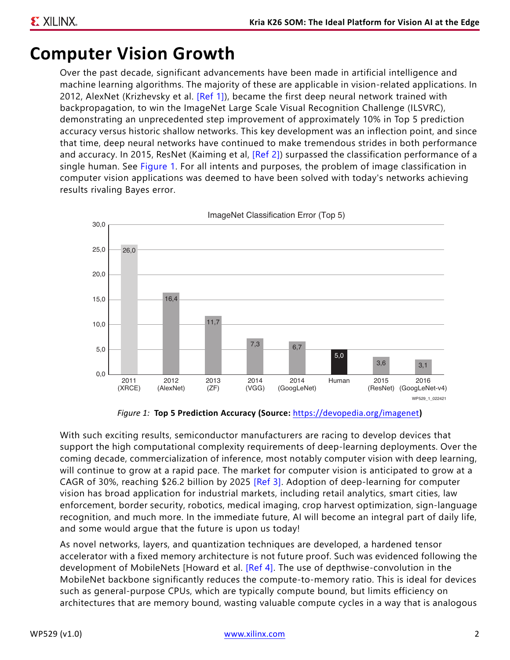# **Computer Vision Growth**

Over the past decade, significant advancements have been made in artificial intelligence and machine learning algorithms. The majority of these are applicable in vision-related applications. In 2012, AlexNet (Krizhevsky et al. [\[Ref 1\]](#page-15-0)), became the first deep neural network trained with backpropagation, to win the ImageNet Large Scale Visual Recognition Challenge (ILSVRC), demonstrating an unprecedented step improvement of approximately 10% in Top 5 prediction accuracy versus historic shallow networks. This key development was an inflection point, and since that time, deep neural networks have continued to make tremendous strides in both performance and accuracy. In 2015, ResNet (Kaiming et al, [\[Ref 2\]](#page-15-1)) surpassed the classification performance of a single human. See [Figure 1.](#page-1-0) For all intents and purposes, the problem of image classification in computer vision applications was deemed to have been solved with today's networks achieving results rivaling Bayes error.

<span id="page-1-0"></span>

*Figure 1:* **Top 5 Prediction Accuracy (Source:** <https://devopedia.org/imagenet>**)**

With such exciting results, semiconductor manufacturers are racing to develop devices that support the high computational complexity requirements of deep-learning deployments. Over the coming decade, commercialization of inference, most notably computer vision with deep learning, will continue to grow at a rapid pace. The market for computer vision is anticipated to grow at a CAGR of 30%, reaching \$26.2 billion by 2025 [\[Ref 3\].](#page-15-2) Adoption of deep-learning for computer vision has broad application for industrial markets, including retail analytics, smart cities, law enforcement, border security, robotics, medical imaging, crop harvest optimization, sign-language recognition, and much more. In the immediate future, AI will become an integral part of daily life, and some would argue that the future is upon us today!

As novel networks, layers, and quantization techniques are developed, a hardened tensor accelerator with a fixed memory architecture is not future proof. Such was evidenced following the development of MobileNets [Howard et al. [\[Ref 4\]](#page-15-3). The use of depthwise-convolution in the MobileNet backbone significantly reduces the compute-to-memory ratio. This is ideal for devices such as general-purpose CPUs, which are typically compute bound, but limits efficiency on architectures that are memory bound, wasting valuable compute cycles in a way that is analogous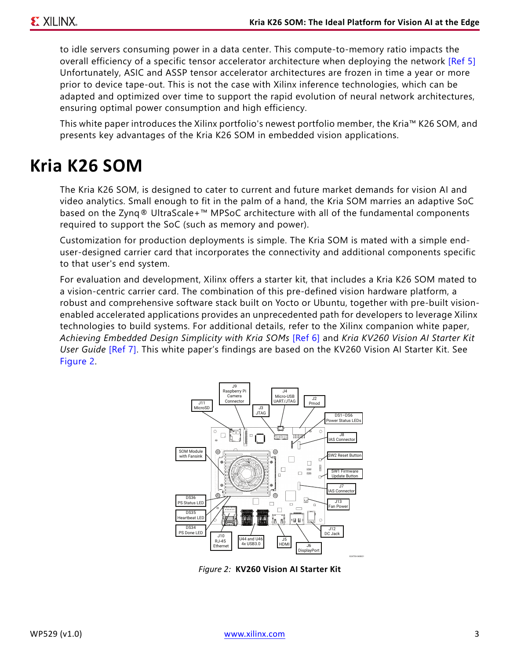to idle servers consuming power in a data center. This compute-to-memory ratio impacts the overall efficiency of a specific tensor accelerator architecture when deploying the network [\[Ref 5\]](#page-15-6) Unfortunately, ASIC and ASSP tensor accelerator architectures are frozen in time a year or more prior to device tape-out. This is not the case with Xilinx inference technologies, which can be adapted and optimized over time to support the rapid evolution of neural network architectures, ensuring optimal power consumption and high efficiency.

This white paper introduces the Xilinx portfolio's newest portfolio member, the Kria™ K26 SOM, and presents key advantages of the Kria K26 SOM in embedded vision applications.

# **Kria K26 SOM**

The Kria K26 SOM, is designed to cater to current and future market demands for vision AI and video analytics. Small enough to fit in the palm of a hand, the Kria SOM marries an adaptive SoC based on the Zynq® UltraScale+™ MPSoC architecture with all of the fundamental components required to support the SoC (such as memory and power).

Customization for production deployments is simple. The Kria SOM is mated with a simple enduser-designed carrier card that incorporates the connectivity and additional components specific to that user's end system.

<span id="page-2-0"></span>For evaluation and development, Xilinx offers a starter kit, that includes a Kria K26 SOM mated to a vision-centric carrier card. The combination of this pre-defined vision hardware platform, a robust and comprehensive software stack built on Yocto or Ubuntu, together with pre-built visionenabled accelerated applications provides an unprecedented path for developers to leverage Xilinx technologies to build systems. For additional details, refer to the Xilinx companion white paper, *Achieving Embedded Design Simplicity with Kria SOMs* [\[Ref 6\]](#page-15-4) and *Kria KV260 Vision AI Starter Kit User Guide* [\[Ref 7\].](#page-15-5) This white paper's findings are based on the KV260 Vision AI Starter Kit. See [Figure 2.](#page-2-0)



*Figure 2:* **KV260 Vision AI Starter Kit**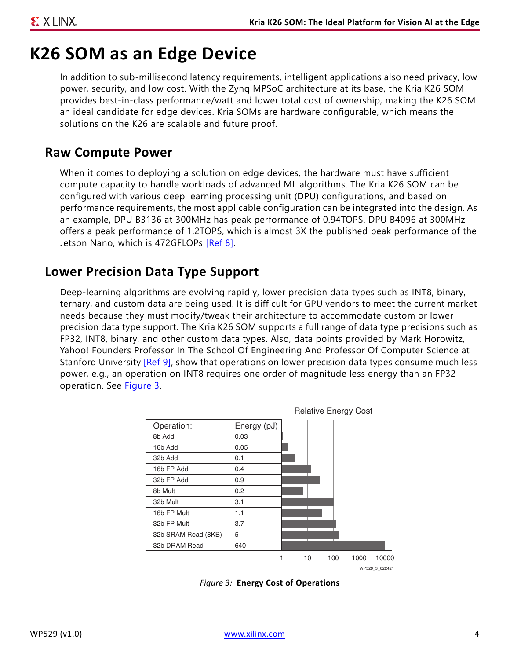# **K26 SOM as an Edge Device**

In addition to sub-millisecond latency requirements, intelligent applications also need privacy, low power, security, and low cost. With the Zynq MPSoC architecture at its base, the Kria K26 SOM provides best-in-class performance/watt and lower total cost of ownership, making the K26 SOM an ideal candidate for edge devices. Kria SOMs are hardware configurable, which means the solutions on the K26 are scalable and future proof.

### **Raw Compute Power**

When it comes to deploying a solution on edge devices, the hardware must have sufficient compute capacity to handle workloads of advanced ML algorithms. The Kria K26 SOM can be configured with various deep learning processing unit (DPU) configurations, and based on performance requirements, the most applicable configuration can be integrated into the design. As an example, DPU B3136 at 300MHz has peak performance of 0.94TOPS. DPU B4096 at 300MHz offers a peak performance of 1.2TOPS, which is almost 3X the published peak performance of the Jetson Nano, which is 472GFLOPs [\[Ref 8\]](#page-15-7).

## **Lower Precision Data Type Support**

Deep-learning algorithms are evolving rapidly, lower precision data types such as INT8, binary, ternary, and custom data are being used. It is difficult for GPU vendors to meet the current market needs because they must modify/tweak their architecture to accommodate custom or lower precision data type support. The Kria K26 SOM supports a full range of data type precisions such as FP32, INT8, binary, and other custom data types. Also, data points provided by Mark Horowitz, Yahoo! Founders Professor In The School Of Engineering And Professor Of Computer Science at Stanford University [\[Ref 9\],](#page-15-8) show that operations on lower precision data types consume much less power, e.g., an operation on INT8 requires one order of magnitude less energy than an FP32 operation. See [Figure 3.](#page-3-0)

<span id="page-3-0"></span>

*Figure 3:* **Energy Cost of Operations**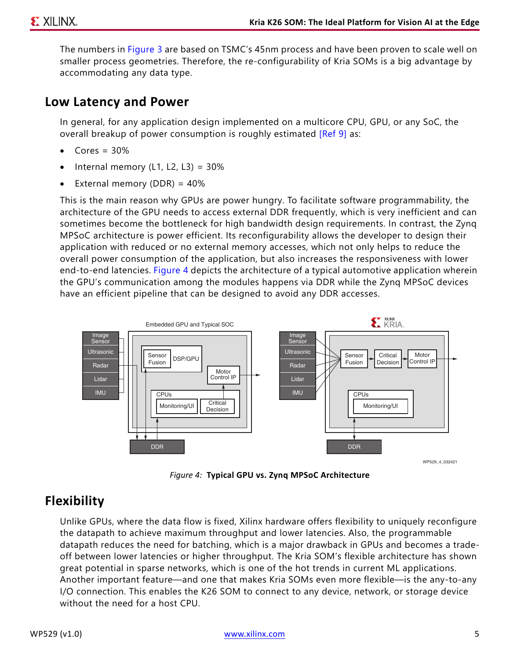The numbers in [Figure 3](#page-3-0) are based on TSMC's 45nm process and have been proven to scale well on smaller process geometries. Therefore, the re-configurability of Kria SOMs is a big advantage by accommodating any data type.

### **Low Latency and Power**

In general, for any application design implemented on a multicore CPU, GPU, or any SoC, the overall breakup of power consumption is roughly estimated [\[Ref 9\]](#page-15-8) as:

- $Cores = 30%$
- Internal memory  $(L1, L2, L3) = 30\%$
- External memory (DDR) = 40%

This is the main reason why GPUs are power hungry. To facilitate software programmability, the architecture of the GPU needs to access external DDR frequently, which is very inefficient and can sometimes become the bottleneck for high bandwidth design requirements. In contrast, the Zynq MPSoC architecture is power efficient. Its reconfigurability allows the developer to design their application with reduced or no external memory accesses, which not only helps to reduce the overall power consumption of the application, but also increases the responsiveness with lower end-to-end latencies. [Figure 4](#page-4-0) depicts the architecture of a typical automotive application wherein the GPU's communication among the modules happens via DDR while the Zynq MPSoC devices have an efficient pipeline that can be designed to avoid any DDR accesses.

<span id="page-4-0"></span>

*Figure 4:* **Typical GPU vs. Zynq MPSoC Architecture**

## **Flexibility**

Unlike GPUs, where the data flow is fixed, Xilinx hardware offers flexibility to uniquely reconfigure the datapath to achieve maximum throughput and lower latencies. Also, the programmable datapath reduces the need for batching, which is a major drawback in GPUs and becomes a tradeoff between lower latencies or higher throughput. The Kria SOM's flexible architecture has shown great potential in sparse networks, which is one of the hot trends in current ML applications. Another important feature—and one that makes Kria SOMs even more flexible—is the any-to-any I/O connection. This enables the K26 SOM to connect to any device, network, or storage device without the need for a host CPU.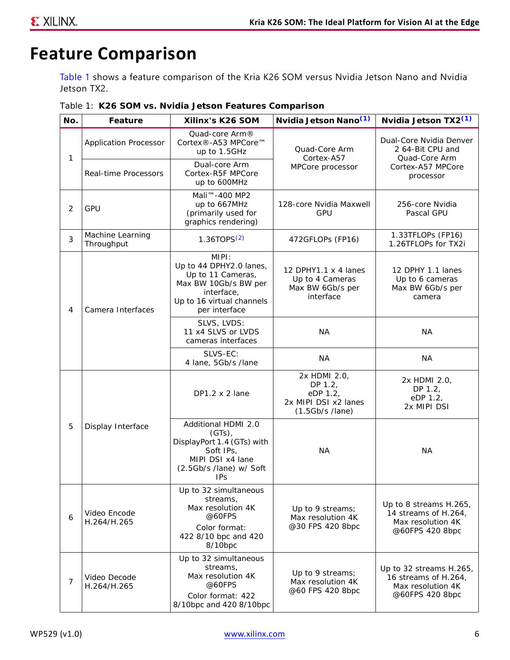# **Feature Comparison**

[Table 1](#page-5-0) shows a feature comparison of the Kria K26 SOM versus Nvidia Jetson Nano and Nvidia Jetson TX2.

<span id="page-5-0"></span>*Table 1:* **K26 SOM vs. Nvidia Jetson Features Comparison**

| No. | Feature                        | Xilinx's K26 SOM                                                                                                                          | Nyidia Jetson Nano <sup>(1)</sup>                                                | Nvidia Jetson TX2 <sup>(1)</sup>                                                        |  |
|-----|--------------------------------|-------------------------------------------------------------------------------------------------------------------------------------------|----------------------------------------------------------------------------------|-----------------------------------------------------------------------------------------|--|
| 1   | <b>Application Processor</b>   | Quad-core Arm®<br>Cortex®-A53 MPCore™<br>up to 1.5GHz                                                                                     | Quad-Core Arm<br>Cortex-A57                                                      | Dual-Core Nvidia Denver<br>2 64-Bit CPU and<br>Quad-Core Arm                            |  |
|     | Real-time Processors           | Dual-core Arm<br>Cortex-R5F MPCore<br>up to 600MHz                                                                                        | MPCore processor                                                                 | Cortex-A57 MPCore<br>processor                                                          |  |
| 2   | <b>GPU</b>                     | Mali <sup>™</sup> -400 MP2<br>up to 667MHz<br>(primarily used for<br>graphics rendering)                                                  | 128-core Nvidia Maxwell<br><b>GPU</b>                                            |                                                                                         |  |
| 3   | Machine Learning<br>Throughput | $1.36$ TOPS $(2)$                                                                                                                         | 472GFLOPs (FP16)                                                                 | 1.33TFLOPs (FP16)<br>1.26TFLOPs for TX2i                                                |  |
| 4   | Camera Interfaces              | MIPI:<br>Up to 44 DPHY2.0 lanes,<br>Up to 11 Cameras,<br>Max BW 10Gb/s BW per<br>interface,<br>Up to 16 virtual channels<br>per interface | 12 DPHY1.1 x 4 lanes<br>Up to 4 Cameras<br>Max BW 6Gb/s per<br>interface         | 12 DPHY 1.1 lanes<br>Up to 6 cameras<br>Max BW 6Gb/s per<br>camera                      |  |
|     |                                | SLVS, LVDS:<br>11 x4 SLVS or LVDS<br>cameras interfaces                                                                                   | <b>NA</b>                                                                        | <b>NA</b>                                                                               |  |
|     |                                | SLVS-EC:<br>4 lane, 5Gb/s /lane                                                                                                           | ΝA                                                                               | <b>NA</b>                                                                               |  |
|     |                                | $DP1.2 \times 2$ lane                                                                                                                     | 2x HDMI 2.0,<br>DP 1.2,<br>eDP 1.2,<br>2x MIPI DSI x2 lanes<br>$(1.5Gb/s$ /lane) | 2x HDMI 2.0,<br>DP 1.2,<br>eDP 1.2,<br>2x MIPI DSI                                      |  |
| 5   | Display Interface              | Additional HDMI 2.0<br>$(GTs)$ ,<br>DisplayPort 1.4 (GTs) with<br>Soft IPs,<br>MIPI DSI x4 lane<br>(2.5Gb/s /lane) w/ Soft<br><b>IPs</b>  | <b>NA</b>                                                                        | <b>NA</b>                                                                               |  |
| 6   | Video Encode<br>H.264/H.265    | Up to 32 simultaneous<br>streams,<br>Max resolution 4K<br>@60FPS<br>Color format:<br>422 8/10 bpc and 420<br>8/10bpc                      | Up to 9 streams;<br>Max resolution 4K<br>@30 FPS 420 8bpc                        | Up to 8 streams H.265,<br>14 streams of H.264,<br>Max resolution 4K<br>@60FPS 420 8bpc  |  |
| 7   | Video Decode<br>H.264/H.265    | Up to 32 simultaneous<br>streams,<br>Max resolution 4K<br>@60FPS<br>Color format: 422<br>8/10bpc and 420 8/10bpc                          | Up to 9 streams;<br>Max resolution 4K<br>@60 FPS 420 8bpc                        | Up to 32 streams H.265,<br>16 streams of H.264,<br>Max resolution 4K<br>@60FPS 420 8bpc |  |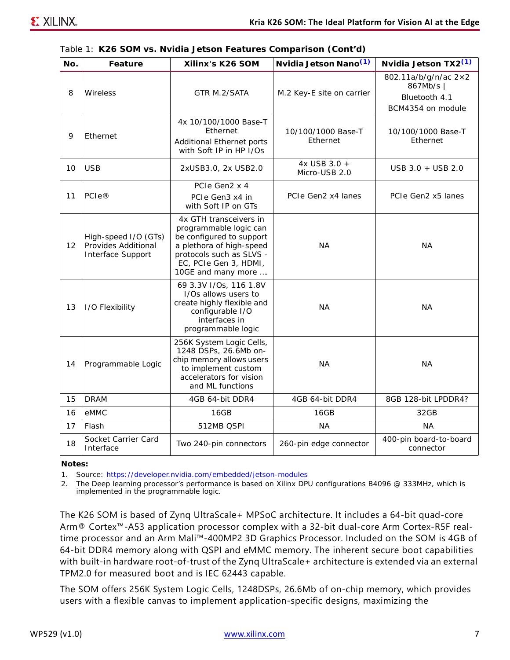|  |  | Table 1: K26 SOM vs. Nvidia Jetson Features Comparison (Cont'd) |  |  |  |
|--|--|-----------------------------------------------------------------|--|--|--|
|--|--|-----------------------------------------------------------------|--|--|--|

| No. | Feature                                                          | Xilinx's K26 SOM                                                                                                                                                                    | Nvidia Jetson Nano <sup>(1)</sup> | Nvidia Jetson TX2 <sup>(1)</sup>                                        |
|-----|------------------------------------------------------------------|-------------------------------------------------------------------------------------------------------------------------------------------------------------------------------------|-----------------------------------|-------------------------------------------------------------------------|
| 8   | Wireless                                                         | GTR M.2/SATA                                                                                                                                                                        | M.2 Key-E site on carrier         | 802.11a/b/g/n/ac 2×2<br>867Mb/s  <br>Bluetooth 4.1<br>BCM4354 on module |
| 9   | Ethernet                                                         | 4x 10/100/1000 Base-T<br>Ethernet<br>Additional Ethernet ports<br>with Soft IP in HP I/Os                                                                                           | 10/100/1000 Base-T<br>Ethernet    | 10/100/1000 Base-T<br>Ethernet                                          |
| 10  | <b>USB</b>                                                       | 2xUSB3.0, 2x USB2.0                                                                                                                                                                 | 4x USB 3.0 +<br>Micro-USB 2.0     | USB 3.0 + USB 2.0                                                       |
| 11  | <b>PCIe®</b>                                                     | PCIe Gen2 x 4<br>PCIe Gen3 x4 in<br>with Soft IP on GTs                                                                                                                             | PCIe Gen2 x4 lanes                | PCIe Gen2 x5 lanes                                                      |
| 12  | High-speed I/O (GTs)<br>Provides Additional<br>Interface Support | 4x GTH transceivers in<br>programmable logic can<br>be configured to support<br>a plethora of high-speed<br>protocols such as SLVS -<br>EC, PCIe Gen 3, HDMI,<br>10GE and many more | NA.                               | <b>NA</b>                                                               |
| 13  | I/O Flexibility                                                  | 69 3.3V I/Os, 116 1.8V<br>I/Os allows users to<br>create highly flexible and<br>configurable I/O<br>interfaces in<br>programmable logic                                             | <b>NA</b>                         | <b>NA</b>                                                               |
| 14  | Programmable Logic                                               | 256K System Logic Cells,<br>1248 DSPs, 26.6Mb on-<br>chip memory allows users<br>to implement custom<br>accelerators for vision<br>and ML functions                                 | <b>NA</b>                         | <b>NA</b>                                                               |
| 15  | <b>DRAM</b>                                                      | 4GB 64-bit DDR4                                                                                                                                                                     | 4GB 64-bit DDR4                   | 8GB 128-bit LPDDR4?                                                     |
| 16  | eMMC                                                             | 16GB                                                                                                                                                                                | 16GB                              | 32GB                                                                    |
| 17  | Flash                                                            | 512MB QSPI                                                                                                                                                                          | NA.                               | NA.                                                                     |
| 18  | Socket Carrier Card<br>Interface                                 | Two 240-pin connectors                                                                                                                                                              | 260-pin edge connector            | 400-pin board-to-board<br>connector                                     |

#### **Notes:**

<span id="page-6-0"></span>1. Source: [https://developer.nvidia.com/embedded/jetson-modules](https://developer.nvidia.com/embedded/jetson-modules )

<span id="page-6-1"></span>2. The Deep learning processor's performance is based on Xilinx DPU configurations B4096 @ 333MHz, which is implemented in the programmable logic.

The K26 SOM is based of Zynq UltraScale+ MPSoC architecture. It includes a 64-bit quad-core Arm® Cortex™-A53 application processor complex with a 32-bit dual-core Arm Cortex-R5F realtime processor and an Arm Mali™-400MP2 3D Graphics Processor. Included on the SOM is 4GB of 64-bit DDR4 memory along with QSPI and eMMC memory. The inherent secure boot capabilities with built-in hardware root-of-trust of the Zynq UltraScale+ architecture is extended via an external TPM2.0 for measured boot and is IEC 62443 capable.

The SOM offers 256K System Logic Cells, 1248DSPs, 26.6Mb of on-chip memory, which provides users with a flexible canvas to implement application-specific designs, maximizing the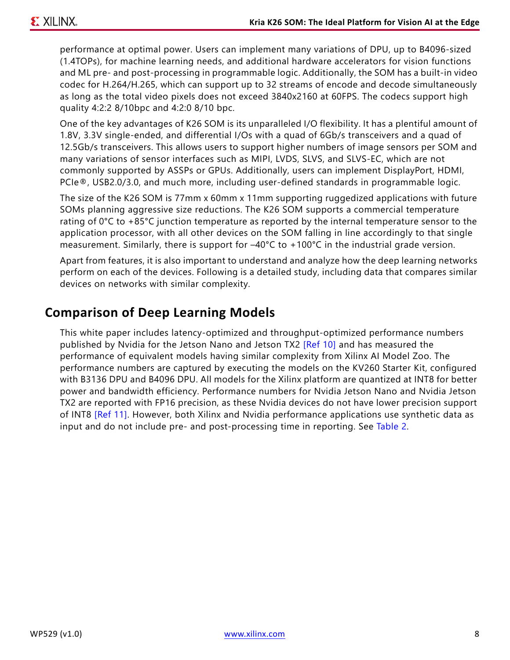performance at optimal power. Users can implement many variations of DPU, up to B4096-sized (1.4TOPs), for machine learning needs, and additional hardware accelerators for vision functions and ML pre- and post-processing in programmable logic. Additionally, the SOM has a built-in video codec for H.264/H.265, which can support up to 32 streams of encode and decode simultaneously as long as the total video pixels does not exceed 3840x2160 at 60FPS. The codecs support high quality 4:2:2 8/10bpc and 4:2:0 8/10 bpc.

One of the key advantages of K26 SOM is its unparalleled I/O flexibility. It has a plentiful amount of 1.8V, 3.3V single-ended, and differential I/Os with a quad of 6Gb/s transceivers and a quad of 12.5Gb/s transceivers. This allows users to support higher numbers of image sensors per SOM and many variations of sensor interfaces such as MIPI, LVDS, SLVS, and SLVS-EC, which are not commonly supported by ASSPs or GPUs. Additionally, users can implement DisplayPort, HDMI, PCIe®, USB2.0/3.0, and much more, including user-defined standards in programmable logic.

The size of the K26 SOM is 77mm x 60mm x 11mm supporting ruggedized applications with future SOMs planning aggressive size reductions. The K26 SOM supports a commercial temperature rating of  $0^{\circ}$ C to +85 $^{\circ}$ C junction temperature as reported by the internal temperature sensor to the application processor, with all other devices on the SOM falling in line accordingly to that single measurement. Similarly, there is support for –40°C to +100°C in the industrial grade version.

Apart from features, it is also important to understand and analyze how the deep learning networks perform on each of the devices. Following is a detailed study, including data that compares similar devices on networks with similar complexity.

## **Comparison of Deep Learning Models**

This white paper includes latency-optimized and throughput-optimized performance numbers published by Nvidia for the Jetson Nano and Jetson TX2 [\[Ref 10\]](#page-15-9) and has measured the performance of equivalent models having similar complexity from Xilinx AI Model Zoo. The performance numbers are captured by executing the models on the KV260 Starter Kit, configured with B3136 DPU and B4096 DPU. All models for the Xilinx platform are quantized at INT8 for better power and bandwidth efficiency. Performance numbers for Nvidia Jetson Nano and Nvidia Jetson TX2 are reported with FP16 precision, as these Nvidia devices do not have lower precision support of INT8 [\[Ref 11\].](#page-15-10) However, both Xilinx and Nvidia performance applications use synthetic data as input and do not include pre- and post-processing time in reporting. See [Table 2](#page-8-0).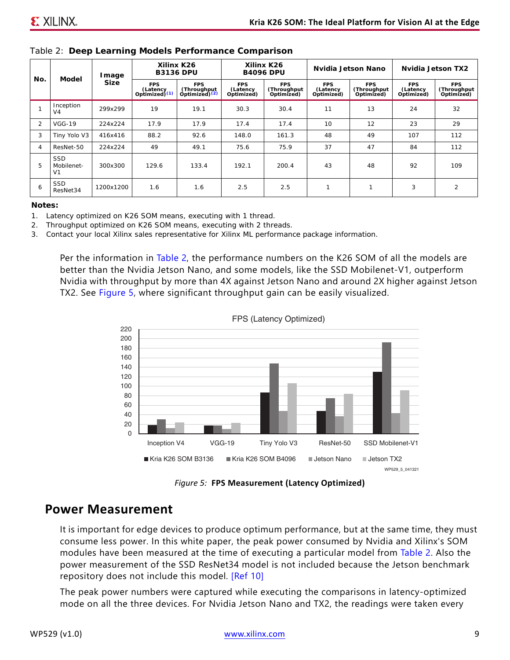| No. | Model                                      | Image       | Xilinx K26<br><b>B3136 DPU</b>            |                                                        | Xilinx K26<br><b>B4096 DPU</b>       |                                         | Nvidia Jetson Nano                   |                                         | Nvidia Jetson TX2              |                                   |
|-----|--------------------------------------------|-------------|-------------------------------------------|--------------------------------------------------------|--------------------------------------|-----------------------------------------|--------------------------------------|-----------------------------------------|--------------------------------|-----------------------------------|
|     |                                            | <b>Size</b> | <b>FPS</b><br>(Latency<br>Optimized $(1)$ | <b>FPS</b><br>(Throughput<br>Optimized) <sup>(2)</sup> | <b>FPS</b><br>(Latency<br>Optimized) | <b>FPS</b><br>(Throughput<br>Optimized) | <b>FPS</b><br>(Latency<br>Optimized) | <b>FPS</b><br>(Throughput<br>Optimized) | FPS.<br>(Latency<br>Optimized) | FPS.<br>(Throughput<br>Optimized) |
|     | Inception<br>V <sub>4</sub>                | 299x299     | 19                                        | 19.1                                                   | 30.3                                 | 30.4                                    | 11                                   | 13                                      | 24                             | 32                                |
| 2   | $VGG-19$                                   | 224x224     | 17.9                                      | 17.9                                                   | 17.4                                 | 17.4                                    | 10                                   | 12                                      | 23                             | 29                                |
| 3   | Tiny Yolo V3                               | 416x416     | 88.2                                      | 92.6                                                   | 148.0                                | 161.3                                   | 48                                   | 49                                      | 107                            | 112                               |
| 4   | ResNet-50                                  | 224x224     | 49                                        | 49.1                                                   | 75.6                                 | 75.9                                    | 37                                   | 47                                      | 84                             | 112                               |
| 5   | <b>SSD</b><br>Mobilenet-<br>V <sub>1</sub> | 300x300     | 129.6                                     | 133.4                                                  | 192.1                                | 200.4                                   | 43                                   | 48                                      | 92                             | 109                               |
| 6   | <b>SSD</b><br>ResNet34                     | 1200x1200   | 1.6                                       | 1.6                                                    | 2.5                                  | 2.5                                     | $\mathbf{I}$                         | 1                                       | 3                              | $\overline{2}$                    |

#### <span id="page-8-0"></span>*Table 2:* **Deep Learning Models Performance Comparison**

#### **Notes:**

<span id="page-8-1"></span>1. Latency optimized on K26 SOM means, executing with 1 thread.

<span id="page-8-2"></span>2. Throughput optimized on K26 SOM means, executing with 2 threads.

3. Contact your local Xilinx sales representative for Xilinx ML performance package information.

<span id="page-8-3"></span>Per the information in [Table 2](#page-8-0), the performance numbers on the K26 SOM of all the models are better than the Nvidia Jetson Nano, and some models, like the SSD Mobilenet-V1, outperform Nvidia with throughput by more than 4X against Jetson Nano and around 2X higher against Jetson TX2. See [Figure 5,](#page-8-3) where significant throughput gain can be easily visualized.



FPS (Latency Optimized)

*Figure 5:* **FPS Measurement (Latency Optimized)**

### **Power Measurement**

It is important for edge devices to produce optimum performance, but at the same time, they must consume less power. In this white paper, the peak power consumed by Nvidia and Xilinx's SOM modules have been measured at the time of executing a particular model from [Table 2](#page-8-0). Also the power measurement of the SSD ResNet34 model is not included because the Jetson benchmark repository does not include this model. [\[Ref 10\]](#page-15-9)

The peak power numbers were captured while executing the comparisons in latency-optimized mode on all the three devices. For Nvidia Jetson Nano and TX2, the readings were taken every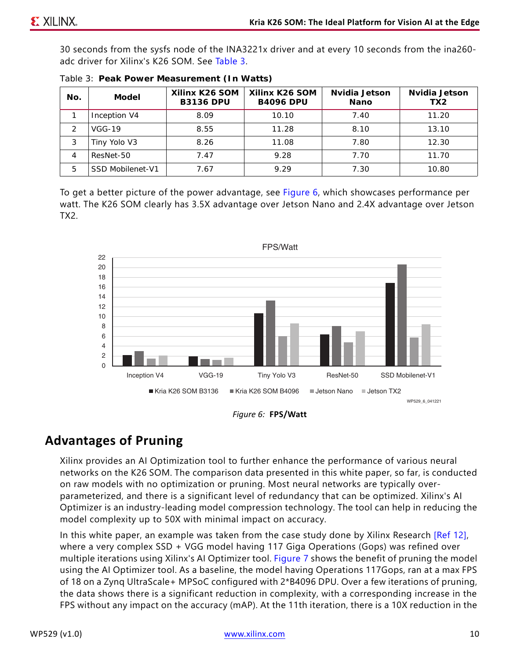30 seconds from the sysfs node of the INA3221x driver and at every 10 seconds from the ina260 adc driver for Xilinx's K26 SOM. See [Table 3.](#page-9-0)

| No. | Model            | Xilinx K26 SOM<br><b>B3136 DPU</b> | Xilinx K26 SOM<br><b>B4096 DPU</b> | Nvidia Jetson<br>Nano | Nvidia Jetson<br>TX <sub>2</sub> |
|-----|------------------|------------------------------------|------------------------------------|-----------------------|----------------------------------|
|     | Inception V4     | 8.09                               | 10.10                              | 7.40                  | 11.20                            |
|     | $VGG-19$         | 8.55                               | 11.28                              | 8.10                  | 13.10                            |
| 3   | Tiny Yolo V3     | 8.26                               | 11.08                              | 7.80                  | 12.30                            |
| 4   | ResNet-50        | 7.47                               | 9.28                               | 7.70                  | 11.70                            |
| 5   | SSD Mobilenet-V1 | 7.67                               | 9.29                               | 7.30                  | 10.80                            |

<span id="page-9-0"></span>

|  |  | Table 3: Peak Power Measurement (In Watts) |  |  |
|--|--|--------------------------------------------|--|--|
|--|--|--------------------------------------------|--|--|

To get a better picture of the power advantage, see [Figure 6,](#page-9-1) which showcases performance per watt. The K26 SOM clearly has 3.5X advantage over Jetson Nano and 2.4X advantage over Jetson TX2.

<span id="page-9-1"></span>



## **Advantages of Pruning**

Xilinx provides an AI Optimization tool to further enhance the performance of various neural networks on the K26 SOM. The comparison data presented in this white paper, so far, is conducted on raw models with no optimization or pruning. Most neural networks are typically overparameterized, and there is a significant level of redundancy that can be optimized. Xilinx's AI Optimizer is an industry-leading model compression technology. The tool can help in reducing the model complexity up to 50X with minimal impact on accuracy.

In this white paper, an example was taken from the case study done by Xilinx Research [\[Ref 12\],](#page-15-11) where a very complex SSD + VGG model having 117 Giga Operations (Gops) was refined over multiple iterations using Xilinx's AI Optimizer tool. [Figure 7](#page-10-0) shows the benefit of pruning the model using the AI Optimizer tool. As a baseline, the model having Operations 117Gops, ran at a max FPS of 18 on a Zynq UltraScale+ MPSoC configured with 2\*B4096 DPU. Over a few iterations of pruning, the data shows there is a significant reduction in complexity, with a corresponding increase in the FPS without any impact on the accuracy (mAP). At the 11th iteration, there is a 10X reduction in the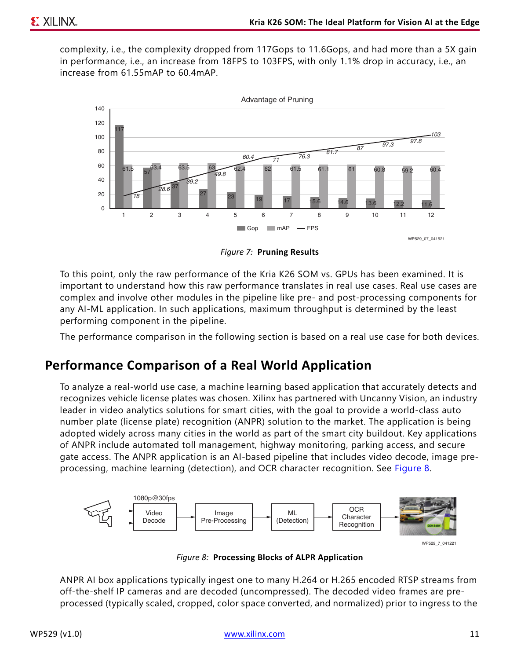complexity, i.e., the complexity dropped from 117Gops to 11.6Gops, and had more than a 5X gain in performance, i.e., an increase from 18FPS to 103FPS, with only 1.1% drop in accuracy, i.e., an increase from 61.55mAP to 60.4mAP.

<span id="page-10-0"></span>

*Figure 7:* **Pruning Results**

To this point, only the raw performance of the Kria K26 SOM vs. GPUs has been examined. It is important to understand how this raw performance translates in real use cases. Real use cases are complex and involve other modules in the pipeline like pre- and post-processing components for any AI-ML application. In such applications, maximum throughput is determined by the least performing component in the pipeline.

The performance comparison in the following section is based on a real use case for both devices.

## **Performance Comparison of a Real World Application**

To analyze a real-world use case, a machine learning based application that accurately detects and recognizes vehicle license plates was chosen. Xilinx has partnered with Uncanny Vision, an industry leader in video analytics solutions for smart cities, with the goal to provide a world-class auto number plate (license plate) recognition (ANPR) solution to the market. The application is being adopted widely across many cities in the world as part of the smart city buildout. Key applications of ANPR include automated toll management, highway monitoring, parking access, and secure gate access. The ANPR application is an AI-based pipeline that includes video decode, image preprocessing, machine learning (detection), and OCR character recognition. See [Figure 8.](#page-10-1)

<span id="page-10-1"></span>

*Figure 8:* **Processing Blocks of ALPR Application**

ANPR AI box applications typically ingest one to many H.264 or H.265 encoded RTSP streams from off-the-shelf IP cameras and are decoded (uncompressed). The decoded video frames are preprocessed (typically scaled, cropped, color space converted, and normalized) prior to ingress to the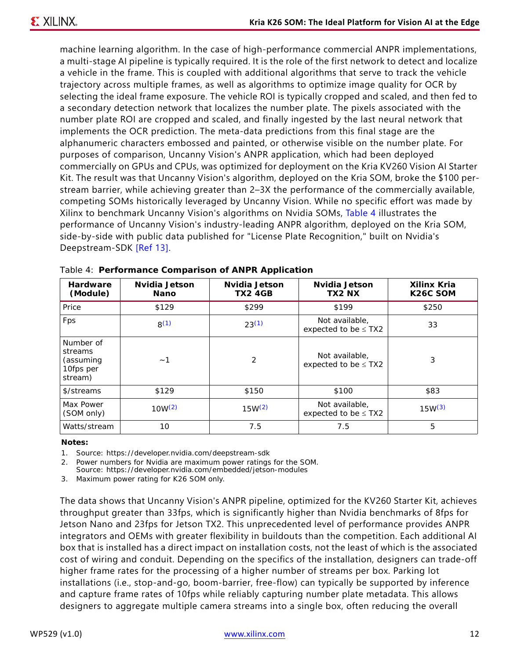machine learning algorithm. In the case of high-performance commercial ANPR implementations, a multi-stage AI pipeline is typically required. It is the role of the first network to detect and localize a vehicle in the frame. This is coupled with additional algorithms that serve to track the vehicle trajectory across multiple frames, as well as algorithms to optimize image quality for OCR by selecting the ideal frame exposure. The vehicle ROI is typically cropped and scaled, and then fed to a secondary detection network that localizes the number plate. The pixels associated with the number plate ROI are cropped and scaled, and finally ingested by the last neural network that implements the OCR prediction. The meta-data predictions from this final stage are the alphanumeric characters embossed and painted, or otherwise visible on the number plate. For purposes of comparison, Uncanny Vision's ANPR application, which had been deployed commercially on GPUs and CPUs, was optimized for deployment on the Kria KV260 Vision AI Starter Kit. The result was that Uncanny Vision's algorithm, deployed on the Kria SOM, broke the \$100 perstream barrier, while achieving greater than 2–3X the performance of the commercially available, competing SOMs historically leveraged by Uncanny Vision. While no specific effort was made by Xilinx to benchmark Uncanny Vision's algorithms on Nvidia SOMs, [Table 4](#page-11-3) illustrates the performance of Uncanny Vision's industry-leading ANPR algorithm, deployed on the Kria SOM, side-by-side with public data published for "License Plate Recognition," built on Nvidia's Deepstream-SDK [\[Ref 13\]](#page-15-12).

| <b>Hardware</b><br>(Module)                               | Nvidia Jetson<br>Nano | Nvidia Jetson<br><b>TX2 4GB</b> | Nvidia Jetson<br>TX2 NX                     | Xilinx Kria<br>K <sub>26</sub> C SOM |
|-----------------------------------------------------------|-----------------------|---------------------------------|---------------------------------------------|--------------------------------------|
| Price                                                     | \$129                 | \$299                           | \$199                                       | \$250                                |
| Fps                                                       | $8^{(1)}$             | $23^{(1)}$                      | Not available.<br>expected to be $\leq$ TX2 | 33                                   |
| Number of<br>streams<br>(assuming<br>10fps per<br>stream) | ~1                    | 2                               | Not available.<br>expected to be $\leq$ TX2 | 3                                    |
| \$/streams                                                | \$129                 | \$150                           | \$100                                       | \$83                                 |
| Max Power<br>(SOM only)                                   | $10W^{(2)}$           | $15W^{(2)}$                     | Not available,<br>expected to be $\leq$ TX2 | $15W^{(3)}$                          |
| Watts/stream                                              | 10                    | 7.5                             | 7.5                                         | 5                                    |

<span id="page-11-3"></span>

|  |  |  | Table 4: Performance Comparison of ANPR Application |
|--|--|--|-----------------------------------------------------|
|--|--|--|-----------------------------------------------------|

#### **Notes:**

<span id="page-11-0"></span>1. Source: https://developer.nvidia.com/deepstream-sdk

<span id="page-11-1"></span>2. Power numbers for Nvidia are maximum power ratings for the SOM.

Source: https://developer.nvidia.com/embedded/jetson-modules

<span id="page-11-2"></span>3. Maximum power rating for K26 SOM only.

The data shows that Uncanny Vision's ANPR pipeline, optimized for the KV260 Starter Kit, achieves throughput greater than 33fps, which is significantly higher than Nvidia benchmarks of 8fps for Jetson Nano and 23fps for Jetson TX2. This unprecedented level of performance provides ANPR integrators and OEMs with greater flexibility in buildouts than the competition. Each additional AI box that is installed has a direct impact on installation costs, not the least of which is the associated cost of wiring and conduit. Depending on the specifics of the installation, designers can trade-off higher frame rates for the processing of a higher number of streams per box. Parking lot installations (i.e., stop-and-go, boom-barrier, free-flow) can typically be supported by inference and capture frame rates of 10fps while reliably capturing number plate metadata. This allows designers to aggregate multiple camera streams into a single box, often reducing the overall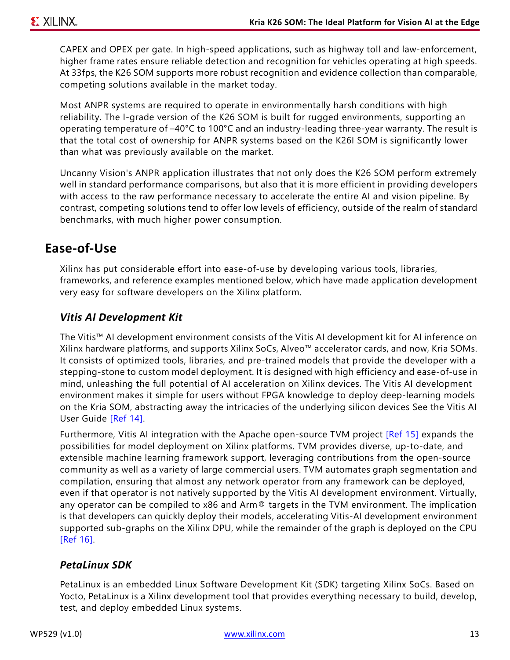CAPEX and OPEX per gate. In high-speed applications, such as highway toll and law-enforcement, higher frame rates ensure reliable detection and recognition for vehicles operating at high speeds. At 33fps, the K26 SOM supports more robust recognition and evidence collection than comparable, competing solutions available in the market today.

Most ANPR systems are required to operate in environmentally harsh conditions with high reliability. The I-grade version of the K26 SOM is built for rugged environments, supporting an operating temperature of –40°C to 100°C and an industry-leading three-year warranty. The result is that the total cost of ownership for ANPR systems based on the K26I SOM is significantly lower than what was previously available on the market.

Uncanny Vision's ANPR application illustrates that not only does the K26 SOM perform extremely well in standard performance comparisons, but also that it is more efficient in providing developers with access to the raw performance necessary to accelerate the entire AI and vision pipeline. By contrast, competing solutions tend to offer low levels of efficiency, outside of the realm of standard benchmarks, with much higher power consumption.

## **Ease-of-Use**

Xilinx has put considerable effort into ease-of-use by developing various tools, libraries, frameworks, and reference examples mentioned below, which have made application development very easy for software developers on the Xilinx platform.

### *Vitis AI Development Kit*

The Vitis™ AI development environment consists of the Vitis AI development kit for AI inference on Xilinx hardware platforms, and supports Xilinx SoCs, Alveo™ accelerator cards, and now, Kria SOMs. It consists of optimized tools, libraries, and pre-trained models that provide the developer with a stepping-stone to custom model deployment. It is designed with high efficiency and ease-of-use in mind, unleashing the full potential of AI acceleration on Xilinx devices. The Vitis AI development environment makes it simple for users without FPGA knowledge to deploy deep-learning models on the Kria SOM, abstracting away the intricacies of the underlying silicon devices See the Vitis AI User Guide [\[Ref 14\].](#page-15-13)

Furthermore, Vitis AI integration with the Apache open-source TVM project [\[Ref 15\]](#page-15-14) expands the possibilities for model deployment on Xilinx platforms. TVM provides diverse, up-to-date, and extensible machine learning framework support, leveraging contributions from the open-source community as well as a variety of large commercial users. TVM automates graph segmentation and compilation, ensuring that almost any network operator from any framework can be deployed, even if that operator is not natively supported by the Vitis AI development environment. Virtually, any operator can be compiled to x86 and Arm® targets in the TVM environment. The implication is that developers can quickly deploy their models, accelerating Vitis-AI development environment supported sub-graphs on the Xilinx DPU, while the remainder of the graph is deployed on the CPU [\[Ref 16\].](#page-15-15)

### *PetaLinux SDK*

PetaLinux is an embedded Linux Software Development Kit (SDK) targeting Xilinx SoCs. Based on Yocto, PetaLinux is a Xilinx development tool that provides everything necessary to build, develop, test, and deploy embedded Linux systems.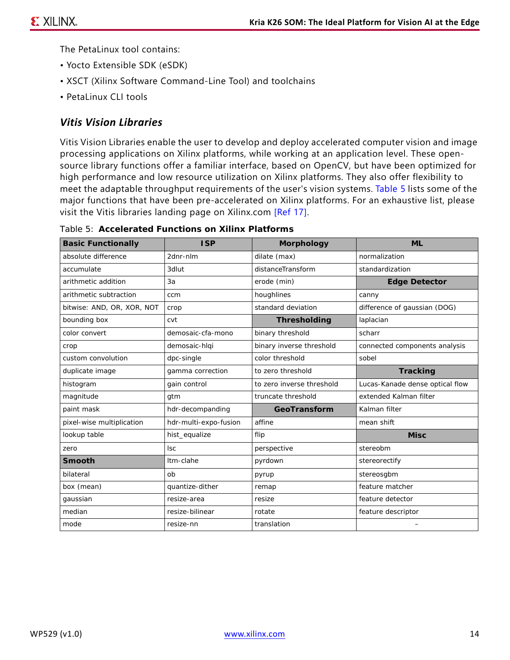The PetaLinux tool contains:

- Yocto Extensible SDK (eSDK)
- XSCT (Xilinx Software Command-Line Tool) and toolchains
- PetaLinux CLI tools

### *Vitis Vision Libraries*

Vitis Vision Libraries enable the user to develop and deploy accelerated computer vision and image processing applications on Xilinx platforms, while working at an application level. These opensource library functions offer a familiar interface, based on OpenCV, but have been optimized for high performance and low resource utilization on Xilinx platforms. They also offer flexibility to meet the adaptable throughput requirements of the user's vision systems. [Table 5](#page-13-0) lists some of the major functions that have been pre-accelerated on Xilinx platforms. For an exhaustive list, please visit the Vitis libraries landing page on Xilinx.com [\[Ref 17\].](#page-15-16)

| <b>Basic Functionally</b>  | <b>ISP</b>            | Morphology                | <b>ML</b>                       |
|----------------------------|-----------------------|---------------------------|---------------------------------|
| absolute difference        | 2dnr-nlm              | dilate (max)              | normalization                   |
| accumulate                 | 3dlut                 | distanceTransform         | standardization                 |
| arithmetic addition        | 3a                    | erode (min)               | <b>Edge Detector</b>            |
| arithmetic subtraction     | ccm                   | houghlines                | canny                           |
| bitwise: AND, OR, XOR, NOT | crop                  | standard deviation        | difference of gaussian (DOG)    |
| bounding box               | cvt                   | Thresholding              | laplacian                       |
| color convert              | demosaic-cfa-mono     | binary threshold          | scharr                          |
| crop                       | demosaic-hlqi         | binary inverse threshold  | connected components analysis   |
| custom convolution         | dpc-single            | color threshold           | sobel                           |
| duplicate image            | gamma correction      | to zero threshold         | Tracking                        |
| histogram                  | gain control          | to zero inverse threshold | Lucas-Kanade dense optical flow |
| magnitude                  | gtm                   | truncate threshold        | extended Kalman filter          |
| paint mask                 | hdr-decompanding      | GeoTransform              | Kalman filter                   |
| pixel-wise multiplication  | hdr-multi-expo-fusion | affine                    | mean shift                      |
| lookup table               | hist_equalize         | flip                      | <b>Misc</b>                     |
| zero                       | <b>Isc</b>            | perspective               | stereobm                        |
| Smooth                     | Itm-clahe             | pyrdown                   | stereorectify                   |
| bilateral                  | ob                    | pyrup                     | stereosgbm                      |
| box (mean)                 | quantize-dither       | remap                     | feature matcher                 |
| gaussian                   | resize-area           | resize                    | feature detector                |
| median                     | resize-bilinear       | rotate                    | feature descriptor              |
| mode                       | resize-nn             | translation               |                                 |

<span id="page-13-0"></span>*Table 5:* **Accelerated Functions on Xilinx Platforms**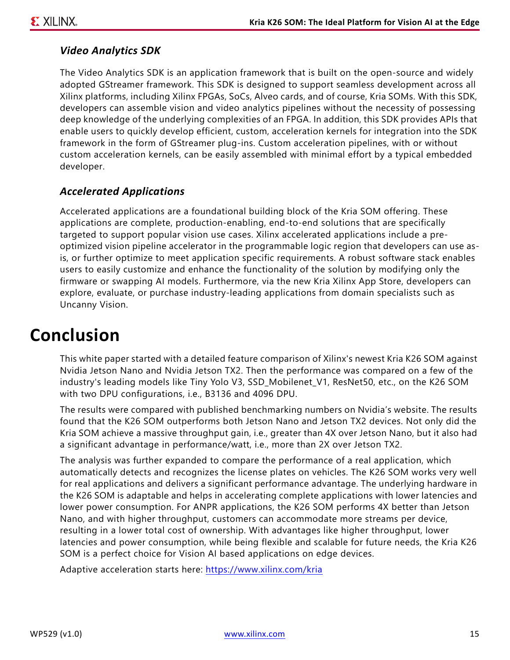### *Video Analytics SDK*

The Video Analytics SDK is an application framework that is built on the open-source and widely adopted GStreamer framework. This SDK is designed to support seamless development across all Xilinx platforms, including Xilinx FPGAs, SoCs, Alveo cards, and of course, Kria SOMs. With this SDK, developers can assemble vision and video analytics pipelines without the necessity of possessing deep knowledge of the underlying complexities of an FPGA. In addition, this SDK provides APIs that enable users to quickly develop efficient, custom, acceleration kernels for integration into the SDK framework in the form of GStreamer plug-ins. Custom acceleration pipelines, with or without custom acceleration kernels, can be easily assembled with minimal effort by a typical embedded developer.

### *Accelerated Applications*

Accelerated applications are a foundational building block of the Kria SOM offering. These applications are complete, production-enabling, end-to-end solutions that are specifically targeted to support popular vision use cases. Xilinx accelerated applications include a preoptimized vision pipeline accelerator in the programmable logic region that developers can use asis, or further optimize to meet application specific requirements. A robust software stack enables users to easily customize and enhance the functionality of the solution by modifying only the firmware or swapping AI models. Furthermore, via the new Kria Xilinx App Store, developers can explore, evaluate, or purchase industry-leading applications from domain specialists such as Uncanny Vision.

## **Conclusion**

This white paper started with a detailed feature comparison of Xilinx's newest Kria K26 SOM against Nvidia Jetson Nano and Nvidia Jetson TX2. Then the performance was compared on a few of the industry's leading models like Tiny Yolo V3, SSD\_Mobilenet\_V1, ResNet50, etc., on the K26 SOM with two DPU configurations, i.e., B3136 and 4096 DPU.

The results were compared with published benchmarking numbers on Nvidia's website. The results found that the K26 SOM outperforms both Jetson Nano and Jetson TX2 devices. Not only did the Kria SOM achieve a massive throughput gain, i.e., greater than 4X over Jetson Nano, but it also had a significant advantage in performance/watt, i.e., more than 2X over Jetson TX2.

The analysis was further expanded to compare the performance of a real application, which automatically detects and recognizes the license plates on vehicles. The K26 SOM works very well for real applications and delivers a significant performance advantage. The underlying hardware in the K26 SOM is adaptable and helps in accelerating complete applications with lower latencies and lower power consumption. For ANPR applications, the K26 SOM performs 4X better than Jetson Nano, and with higher throughput, customers can accommodate more streams per device, resulting in a lower total cost of ownership. With advantages like higher throughput, lower latencies and power consumption, while being flexible and scalable for future needs, the Kria K26 SOM is a perfect choice for Vision AI based applications on edge devices.

Adaptive acceleration starts here: <https://www.xilinx.com/kria>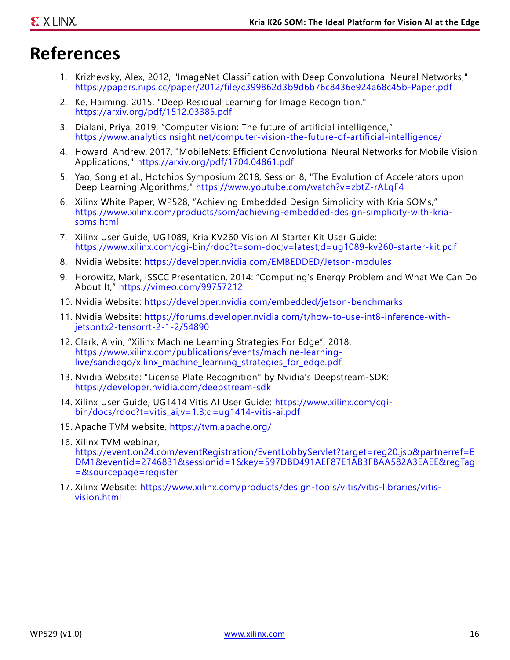# **References**

- <span id="page-15-0"></span>1. Krizhevsky, Alex, 2012, "ImageNet Classification with Deep Convolutional Neural Networks," <https://papers.nips.cc/paper/2012/file/c399862d3b9d6b76c8436e924a68c45b-Paper.pdf>
- <span id="page-15-1"></span>2. Ke, Haiming, 2015, "Deep Residual Learning for Image Recognition," <https://arxiv.org/pdf/1512.03385.pdf>
- <span id="page-15-2"></span>3. Dialani, Priya, 2019, "Computer Vision: The future of artificial intelligence," <https://www.analyticsinsight.net/computer-vision-the-future-of-artificial-intelligence/>
- <span id="page-15-3"></span>4. Howard, Andrew, 2017, "MobileNets: Efficient Convolutional Neural Networks for Mobile Vision Applications," <https://arxiv.org/pdf/1704.04861.pdf>
- <span id="page-15-6"></span>5. Yao, Song et al., Hotchips Symposium 2018, Session 8, "The Evolution of Accelerators upon Deep Learning Algorithms,"<https://www.youtube.com/watch?v=zbtZ-rALqF4>
- <span id="page-15-4"></span>6. Xilinx White Paper, WP528, "Achieving Embedded Design Simplicity with Kria SOMs," [https://www.xilinx.com/products/som/achieving-embedded-design-simplicity-with-kria](https://www.xilinx.com/products/som/achieving-embedded-design-simplicity-with-kria-soms.html)[soms.html](https://www.xilinx.com/products/som/achieving-embedded-design-simplicity-with-kria-soms.html)
- <span id="page-15-5"></span>7. Xilinx User Guide, UG1089, Kria KV260 Vision AI Starter Kit User Guide: <https://www.xilinx.com/cgi-bin/rdoc?t=som-doc;v=latest;d=ug1089-kv260-starter-kit.pdf>
- <span id="page-15-7"></span>8. Nvidia Website:<https://developer.nvidia.com/EMBEDDED/Jetson-modules>
- <span id="page-15-8"></span>9. Horowitz, Mark, ISSCC Presentation, 2014: "Computing's Energy Problem and What We Can Do About It," <https://vimeo.com/99757212>
- <span id="page-15-9"></span>10. Nvidia Website:<https://developer.nvidia.com/embedded/jetson-benchmarks>
- <span id="page-15-10"></span>11. Nvidia Website: [https://forums.developer.nvidia.com/t/how-to-use-int8-inference-with](https://forums.developer.nvidia.com/t/how-to-use-int8-inference-with-jetsontx2-tensorrt-2-1-2/54890)[jetsontx2-tensorrt-2-1-2/54890](https://forums.developer.nvidia.com/t/how-to-use-int8-inference-with-jetsontx2-tensorrt-2-1-2/54890)
- <span id="page-15-11"></span>12. Clark, Alvin, "Xilinx Machine Learning Strategies For Edge", 2018. [https://www.xilinx.com/publications/events/machine-learning](https://www.xilinx.com/publications/events/machine-learning-live/sandiego/xilinx_machine_learning_strategies_for_edge.pdf)live/sandiego/xilinx\_machine\_learning\_strategies\_for\_edge.pdf
- <span id="page-15-12"></span>13. Nvidia Website: "License Plate Recognition" by Nvidia's Deepstream-SDK: <https://developer.nvidia.com/deepstream-sdk>
- <span id="page-15-13"></span>14. Xilinx User Guide, UG1414 Vitis AI User Guide: [https://www.xilinx.com/cgi](https://www.xilinx.com/cgi-bin/docs/rdoc?t=vitis_ai;v=1.3;d=ug1414-vitis-ai.pdf)[bin/docs/rdoc?t=vitis\\_ai;v=1.3;d=ug1414-vitis-ai.pdf](https://www.xilinx.com/cgi-bin/docs/rdoc?t=vitis_ai;v=1.3;d=ug1414-vitis-ai.pdf)
- <span id="page-15-14"></span>15. Apache TVM website, <https://tvm.apache.org/>
- <span id="page-15-15"></span>16. Xilinx TVM webinar, https://event.on24.com/eventRegistration/EventLobbyServlet?target=reg20.jsp&partnerref=E [DM1&eventid=2746831&sessionid=1&key=597DBD491AEF87E1AB3FBAA582A3EAEE&regTag](https://event.on24.com/eventRegistration/EventLobbyServlet?target=reg20.jsp&partnerref=EDM1&eventid=2746831&sessionid=1&key=597DBD491AEF87E1AB3FBAA582A3EAEE®Tag=&sourcepage=register) =&sourcepage=register
- <span id="page-15-16"></span>17. Xilinx Website: [https://www.xilinx.com/products/design-tools/vitis/vitis-libraries/vitis](https://www.xilinx.com/products/design-tools/vitis/vitis-libraries/vitis-vision.html)[vision.html](https://www.xilinx.com/products/design-tools/vitis/vitis-libraries/vitis-vision.html)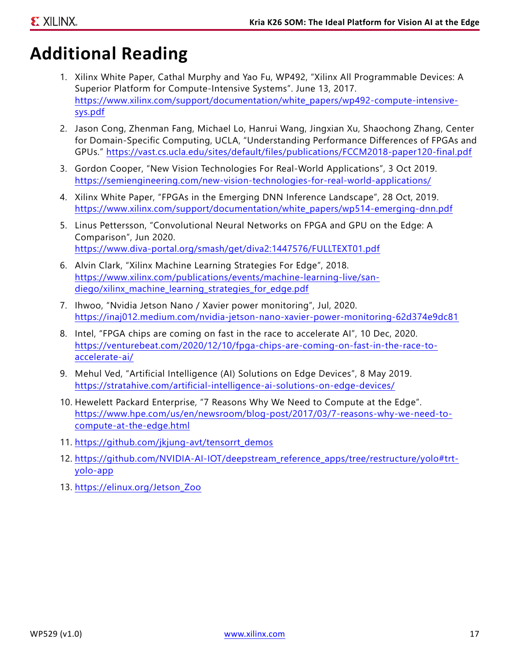# **Additional Reading**

- 1. Xilinx White Paper, Cathal Murphy and Yao Fu, WP492, "Xilinx All Programmable Devices: A Superior Platform for Compute-Intensive Systems". June 13, 2017. [https://www.xilinx.com/support/documentation/white\\_papers/wp492-compute-intensive](https://www.xilinx.com/support/documentation/white_papers/wp492-compute-intensive-sys.pdf)sys.pdf
- 2. Jason Cong, Zhenman Fang, Michael Lo, Hanrui Wang, Jingxian Xu, Shaochong Zhang, Center for Domain-Specific Computing, UCLA, "Understanding Performance Differences of FPGAs and GPUs." <https://vast.cs.ucla.edu/sites/default/files/publications/FCCM2018-paper120-final.pdf>
- 3. Gordon Cooper, "New Vision Technologies For Real-World Applications", 3 Oct 2019. <https://semiengineering.com/new-vision-technologies-for-real-world-applications/>
- 4. Xilinx White Paper, "FPGAs in the Emerging DNN Inference Landscape", 28 Oct, 2019. [https://www.xilinx.com/support/documentation/white\\_papers/wp514-emerging-dnn.pdf](https://www.xilinx.com/support/documentation/white_papers/wp514-emerging-dnn.pdf)
- 5. Linus Pettersson, "Convolutional Neural Networks on FPGA and GPU on the Edge: A Comparison", Jun 2020. <https://www.diva-portal.org/smash/get/diva2:1447576/FULLTEXT01.pdf>
- 6. Alvin Clark, "Xilinx Machine Learning Strategies For Edge", 2018. [https://www.xilinx.com/publications/events/machine-learning-live/san](https://www.xilinx.com/publications/events/machine-learning-live/san-diego/xilinx_machine_learning_strategies_for_edge.pdf)diego/xilinx\_machine\_learning\_strategies\_for\_edge.pdf
- 7. Ihwoo, "Nvidia Jetson Nano / Xavier power monitoring", Jul, 2020. <https://inaj012.medium.com/nvidia-jetson-nano-xavier-power-monitoring-62d374e9dc81>
- 8. Intel, "FPGA chips are coming on fast in the race to accelerate AI", 10 Dec, 2020. [https://venturebeat.com/2020/12/10/fpga-chips-are-coming-on-fast-in-the-race-to](https://venturebeat.com/2020/12/10/fpga-chips-are-coming-on-fast-in-the-race-to-accelerate-ai/)accelerate-ai/
- 9. Mehul Ved, "Artificial Intelligence (AI) Solutions on Edge Devices", 8 May 2019. <https://stratahive.com/artificial-intelligence-ai-solutions-on-edge-devices/>
- 10. Hewelett Packard Enterprise, "7 Reasons Why We Need to Compute at the Edge". [https://www.hpe.com/us/en/newsroom/blog-post/2017/03/7-reasons-why-we-need-to](https://www.hpe.com/us/en/newsroom/blog-post/2017/03/7-reasons-why-we-need-to-compute-at-the-edge.htm)[compute-at-the-edge.html](https://www.hpe.com/us/en/newsroom/blog-post/2017/03/7-reasons-why-we-need-to-compute-at-the-edge.htm)
- 11. https://github.com/jkjung-avt/tensorrt\_demos
- 12. [https://github.com/NVIDIA-AI-IOT/deepstream\\_reference\\_apps/tree/restructure/yolo#trt](https://github.com/NVIDIA-AI-IOT/deepstream_reference_apps/tree/restructure/yolo#trt-yolo-app)[yolo-app](https://github.com/NVIDIA-AI-IOT/deepstream_reference_apps/tree/restructure/yolo#trt-yolo-app)
- 13. [https://elinux.org/Jetson\\_Zoo](https://elinux.org/Jetson_Zoo)